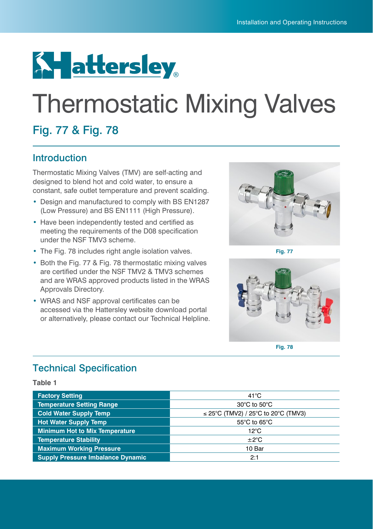

# Thermostatic Mixing Valves

## Fig. 77 & Fig. 78

## Introduction

Thermostatic Mixing Valves (TMV) are self-acting and designed to blend hot and cold water, to ensure a constant, safe outlet temperature and prevent scalding.

- **•** Design and manufactured to comply with BS EN1287 (Low Pressure) and BS EN1111 (High Pressure).
- **•** Have been independently tested and certified as meeting the requirements of the D08 specification under the NSF TMV3 scheme.
- **•** The Fig. 78 includes right angle isolation valves.
- **•** Both the Fig. 77 & Fig. 78 thermostatic mixing valves are certified under the NSF TMV2 & TMV3 schemes and are WRAS approved products listed in the WRAS Approvals Directory.
- **•** WRAS and NSF approval certificates can be accessed via the Hattersley website download portal or alternatively, please contact our Technical Helpline.



**Fig. 77**



**Fig. 78**

## Technical Specification

**Table 1**

| <b>Factory Setting</b>                   | $41^{\circ}$ C                           |  |
|------------------------------------------|------------------------------------------|--|
| <b>Temperature Setting Range</b>         | $30^{\circ}$ C to $50^{\circ}$ C         |  |
| <b>Cold Water Supply Temp</b>            | $\leq$ 25°C (TMV2) / 25°C to 20°C (TMV3) |  |
| <b>Hot Water Supply Temp</b>             | $55^{\circ}$ C to 65 $^{\circ}$ C        |  |
| <b>Minimum Hot to Mix Temperature</b>    | $12^{\circ}$ C                           |  |
| <b>Temperature Stability</b>             | ±2°C                                     |  |
| <b>Maximum Working Pressure</b>          | 10 Bar                                   |  |
| <b>Supply Pressure Imbalance Dynamic</b> | 2:1                                      |  |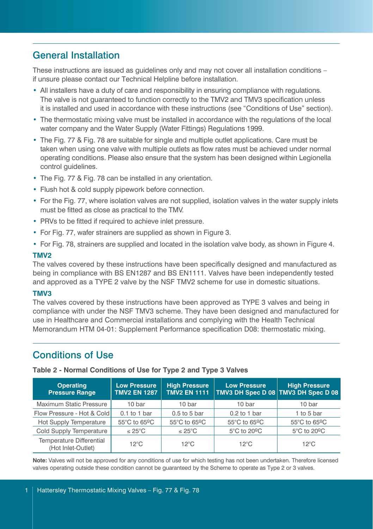## General Installation

These instructions are issued as guidelines only and may not cover all installation conditions – if unsure please contact our Technical Helpline before installation.

- **•** All installers have a duty of care and responsibility in ensuring compliance with regulations. The valve is not guaranteed to function correctly to the TMV2 and TMV3 specification unless it is installed and used in accordance with these instructions (see "Conditions of Use" section).
- **•** The thermostatic mixing valve must be installed in accordance with the regulations of the local water company and the Water Supply (Water Fittings) Regulations 1999.
- **•** The Fig. 77 & Fig. 78 are suitable for single and multiple outlet applications. Care must be taken when using one valve with multiple outlets as flow rates must be achieved under normal operating conditions. Please also ensure that the system has been designed within Legionella control guidelines.
- **•** The Fig. 77 & Fig. 78 can be installed in any orientation.
- **•** Flush hot & cold supply pipework before connection.
- **•** For the Fig. 77, where isolation valves are not supplied, isolation valves in the water supply inlets must be fitted as close as practical to the TMV.
- **•** PRVs to be fitted if required to achieve inlet pressure.
- For Fig. 77, wafer strainers are supplied as shown in Figure 3.
- **•** For Fig. 78, strainers are supplied and located in the isolation valve body, as shown in Figure 4.

#### **TMV2**

The valves covered by these instructions have been specifically designed and manufactured as being in compliance with BS EN1287 and BS EN1111. Valves have been independently tested and approved as a TYPE 2 valve by the NSF TMV2 scheme for use in domestic situations.

#### **TMV3**

The valves covered by these instructions have been approved as TYPE 3 valves and being in compliance with under the NSF TMV3 scheme. They have been designed and manufactured for use in Healthcare and Commercial installations and complying with the Health Technical Memorandum HTM 04-01: Supplement Performance specification D08: thermostatic mixing.

## Conditions of Use

| <b>Operating</b><br><b>Pressure Range</b>             | <b>Low Pressure</b><br><b>TMV2 EN 1287</b> | <b>High Pressure</b><br><b>TMV2 EN 1111</b> | <b>Low Pressure</b><br>TMV3 DH Spec D 08 TMV3 DH Spec D 08 | <b>High Pressure</b> |
|-------------------------------------------------------|--------------------------------------------|---------------------------------------------|------------------------------------------------------------|----------------------|
| <b>Maximum Static Pressure</b>                        | 10 bar                                     | 10 bar                                      | 10 bar                                                     | 10 bar               |
| Flow Pressure - Hot & Cold                            | $0.1$ to 1 bar                             | $0.5$ to 5 bar                              | $0.2$ to 1 bar                                             | 1 to 5 bar           |
| Hot Supply Temperature                                | 55°C to 65ºC                               | 55°C to 65ºC                                | 55°C to 65ºC                                               | 55°C to 65ºC         |
| Cold Supply Temperature                               | $\leq 25^{\circ}$ C                        | $\leq 25^{\circ}$ C                         | $5^{\circ}$ C to $20^{\circ}$ C                            | 5°C to 20°C          |
| <b>Temperature Differential</b><br>(Hot Inlet-Outlet) | $12^{\circ}$ C                             | $12^{\circ}$ C                              | $12^{\circ}$ C                                             | $12^{\circ}$ C       |

**Table 2 - Normal Conditions of Use for Type 2 and Type 3 Valves**

**Note:** Valves will not be approved for any conditions of use for which testing has not been undertaken. Therefore licensed valves operating outside these condition cannot be guaranteed by the Scheme to operate as Type 2 or 3 valves.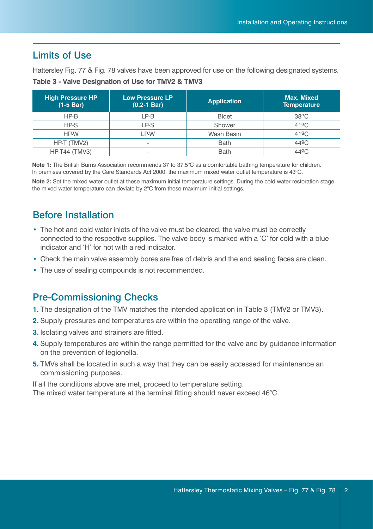## Limits of Use

Hattersley Fig. 77 & Fig. 78 valves have been approved for use on the following designated systems.

| <b>High Pressure HP</b><br>$(1-5 Bar)$ | <b>Low Pressure LP</b><br>$(0.2 - 1$ Bar) | <b>Application</b> | Max. Mixed<br><b>Temperature</b> |  |
|----------------------------------------|-------------------------------------------|--------------------|----------------------------------|--|
| $HP-B$                                 | LP-B                                      | <b>Bidet</b>       | $38^{\circ}$ C                   |  |
| $HP-S$                                 | LP-S                                      | Shower             | $41^{\circ}$ C                   |  |
| HP-W                                   | LP-W                                      | Wash Basin         | $41^{\circ}$ C                   |  |
| HP-T (TMV2)                            | ۰                                         | <b>Bath</b>        | 44 <sup>o</sup> C                |  |
| <b>HP-T44 (TMV3)</b>                   | ۰                                         | <b>Bath</b>        | $44^{\circ}$ C                   |  |

| Table 3 - Valve Designation of Use for TMV2 & TMV3 |  |  |  |  |  |  |
|----------------------------------------------------|--|--|--|--|--|--|
|----------------------------------------------------|--|--|--|--|--|--|

**Note 1:** The British Burns Association recommends 37 to 37.5°C as a comfortable bathing temperature for children. In premises covered by the Care Standards Act 2000, the maximum mixed water outlet temperature is 43°C.

**Note 2:** Set the mixed water outlet at these maximum initial temperature settings. During the cold water restoration stage the mixed water temperature can deviate by 2°C from these maximum initial settings.

## Before Installation

- **•** The hot and cold water inlets of the valve must be cleared, the valve must be correctly connected to the respective supplies. The valve body is marked with a 'C' for cold with a blue indicator and 'H' for hot with a red indicator.
- **•** Check the main valve assembly bores are free of debris and the end sealing faces are clean.
- **•** The use of sealing compounds is not recommended.

## Pre-Commissioning Checks

- **1.** The designation of the TMV matches the intended application in Table 3 (TMV2 or TMV3).
- **2.** Supply pressures and temperatures are within the operating range of the valve.
- **3.** Isolating valves and strainers are fitted.
- **4.** Supply temperatures are within the range permitted for the valve and by guidance information on the prevention of legionella.
- **5.** TMVs shall be located in such a way that they can be easily accessed for maintenance an commissioning purposes.

If all the conditions above are met, proceed to temperature setting. The mixed water temperature at the terminal fitting should never exceed 46°C.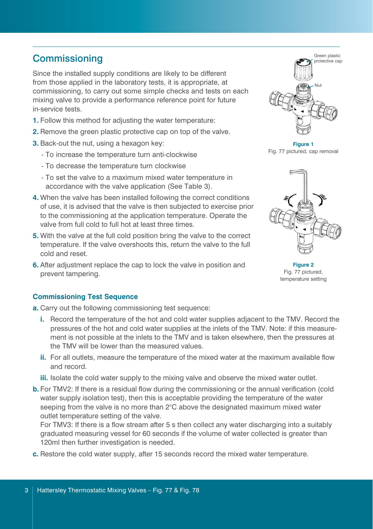## **Commissioning**

Since the installed supply conditions are likely to be different from those applied in the laboratory tests, it is appropriate, at commissioning, to carry out some simple checks and tests on each mixing valve to provide a performance reference point for future in-service tests.

- **1.** Follow this method for adjusting the water temperature:
- **2.** Remove the green plastic protective cap on top of the valve.
- **3.** Back-out the nut, using a hexagon key:
	- To increase the temperature turn anti-clockwise
	- To decrease the temperature turn clockwise
	- To set the valve to a maximum mixed water temperature in accordance with the valve application (See Table 3).
- **4.** When the valve has been installed following the correct conditions of use, it is advised that the valve is then subjected to exercise prior to the commissioning at the application temperature. Operate the valve from full cold to full hot at least three times.
- **5.** With the valve at the full cold position bring the valve to the correct temperature. If the valve overshoots this, return the valve to the full cold and reset.
- **6.** After adjustment replace the cap to lock the valve in position and prevent tampering.

#### **Commissioning Test Sequence**

- **a.** Carry out the following commissioning test sequence:
	- **i.** Record the temperature of the hot and cold water supplies adjacent to the TMV. Record the pressures of the hot and cold water supplies at the inlets of the TMV. Note: if this measurement is not possible at the inlets to the TMV and is taken elsewhere, then the pressures at the TMV will be lower than the measured values.
	- **ii.** For all outlets, measure the temperature of the mixed water at the maximum available flow and record.
	- **iii.** Isolate the cold water supply to the mixing valve and observe the mixed water outlet.
- **b.** For TMV2: If there is a residual flow during the commissioning or the annual verification (cold water supply isolation test), then this is acceptable providing the temperature of the water seeping from the valve is no more than 2°C above the designated maximum mixed water outlet temperature setting of the valve.

For TMV3: If there is a flow stream after 5 s then collect any water discharging into a suitably graduated measuring vessel for 60 seconds if the volume of water collected is greater than 120ml then further investigation is needed.

**c.** Restore the cold water supply, after 15 seconds record the mixed water temperature.



**Figure 1** Fig. 77 pictured, cap removal



**Figure 2** Fig. 77 pictured, temperature setting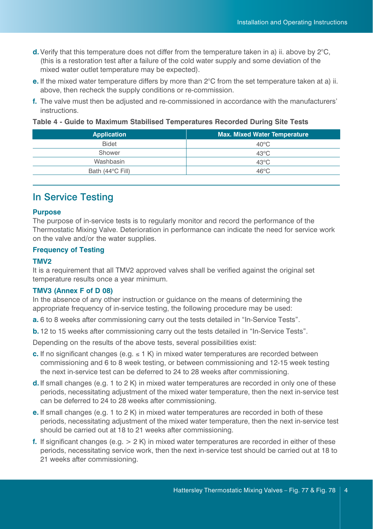- **d.** Verify that this temperature does not differ from the temperature taken in a) ii. above by 2°C, (this is a restoration test after a failure of the cold water supply and some deviation of the mixed water outlet temperature may be expected).
- **e.** If the mixed water temperature differs by more than 2°C from the set temperature taken at a) ii. above, then recheck the supply conditions or re-commission.
- **f.** The valve must then be adjusted and re-commissioned in accordance with the manufacturers' instructions.

**Table 4 - Guide to Maximum Stabilised Temperatures Recorded During Site Tests**

| <b>Max. Mixed Water Temperature</b> |  |  |
|-------------------------------------|--|--|
| $40^{\circ}$ C                      |  |  |
| $43^{\circ}$ C                      |  |  |
| $43^{\circ}$ C                      |  |  |
| 46°C                                |  |  |
|                                     |  |  |

## In Service Testing

#### **Purpose**

The purpose of in-service tests is to regularly monitor and record the performance of the Thermostatic Mixing Valve. Deterioration in performance can indicate the need for service work on the valve and/or the water supplies.

#### **Frequency of Testing**

#### **TMV2**

It is a requirement that all TMV2 approved valves shall be verified against the original set temperature results once a year minimum.

#### **TMV3 (Annex F of D 08)**

In the absence of any other instruction or guidance on the means of determining the appropriate frequency of in-service testing, the following procedure may be used:

- **a.** 6 to 8 weeks after commissioning carry out the tests detailed in "In-Service Tests".
- **b.** 12 to 15 weeks after commissioning carry out the tests detailed in "In-Service Tests".

Depending on the results of the above tests, several possibilities exist:

- **c.** If no significant changes (e.g.  $\leq 1$  K) in mixed water temperatures are recorded between commissioning and 6 to 8 week testing, or between commissioning and 12-15 week testing the next in-service test can be deferred to 24 to 28 weeks after commissioning.
- **d.** If small changes (e.g. 1 to 2 K) in mixed water temperatures are recorded in only one of these periods, necessitating adjustment of the mixed water temperature, then the next in-service test can be deferred to 24 to 28 weeks after commissioning.
- **e.** If small changes (e.g. 1 to 2 K) in mixed water temperatures are recorded in both of these periods, necessitating adjustment of the mixed water temperature, then the next in-service test should be carried out at 18 to 21 weeks after commissioning.
- **f.** If significant changes (e.g. > 2 K) in mixed water temperatures are recorded in either of these periods, necessitating service work, then the next in-service test should be carried out at 18 to 21 weeks after commissioning.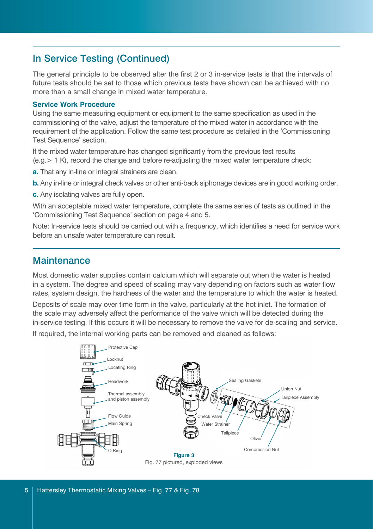## In Service Testing (Continued)

The general principle to be observed after the first 2 or 3 in-service tests is that the intervals of future tests should be set to those which previous tests have shown can be achieved with no more than a small change in mixed water temperature.

#### **Service Work Procedure**

Using the same measuring equipment or equipment to the same specification as used in the commissioning of the valve, adjust the temperature of the mixed water in accordance with the requirement of the application. Follow the same test procedure as detailed in the 'Commissioning Test Sequence' section.

If the mixed water temperature has changed significantly from the previous test results (e.g.> 1 K), record the change and before re-adjusting the mixed water temperature check:

- **a.** That any in-line or integral strainers are clean.
- **b.** Any in-line or integral check valves or other anti-back siphonage devices are in good working order.
- **c.** Any isolating valves are fully open.

With an acceptable mixed water temperature, complete the same series of tests as outlined in the 'Commissioning Test Sequence' section on page 4 and 5.

Note: In-service tests should be carried out with a frequency, which identifies a need for service work before an unsafe water temperature can result.

#### **Maintenance**

Most domestic water supplies contain calcium which will separate out when the water is heated in a system. The degree and speed of scaling may vary depending on factors such as water flow rates, system design, the hardness of the water and the temperature to which the water is heated.

Deposits of scale may over time form in the valve, particularly at the hot inlet. The formation of the scale may adversely affect the performance of the valve which will be detected during the in-service testing. If this occurs it will be necessary to remove the valve for de-scaling and service.

If required, the internal working parts can be removed and cleaned as follows:

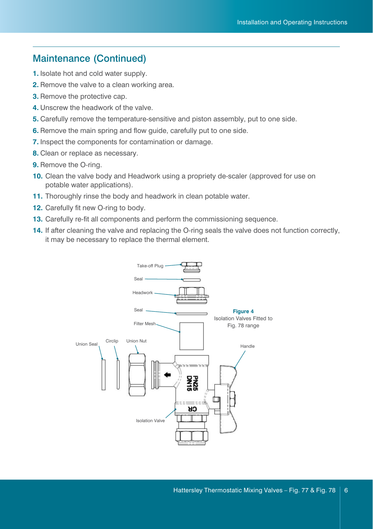## Maintenance (Continued)

- **1.** Isolate hot and cold water supply.
- **2.** Remove the valve to a clean working area.
- **3.** Remove the protective cap.
- **4.** Unscrew the headwork of the valve.
- **5.** Carefully remove the temperature-sensitive and piston assembly, put to one side.
- **6.** Remove the main spring and flow guide, carefully put to one side.
- **7.** Inspect the components for contamination or damage.
- **8.** Clean or replace as necessary.
- **9.** Remove the O-ring.
- **10.** Clean the valve body and Headwork using a propriety de-scaler (approved for use on potable water applications).
- **11.** Thoroughly rinse the body and headwork in clean potable water.
- **12.** Carefully fit new O-ring to body.
- **13.** Carefully re-fit all components and perform the commissioning sequence.
- **14.** If after cleaning the valve and replacing the O-ring seals the valve does not function correctly, it may be necessary to replace the thermal element.